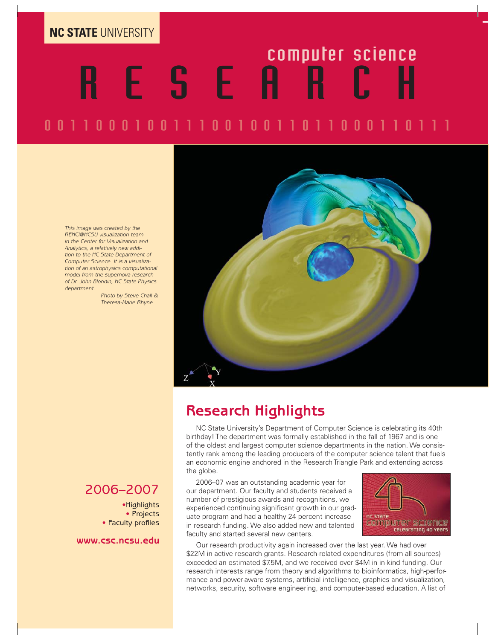**NC STATE** UNIVERSITY

# ESEARCH

# 00110001001110010011011000110111

This image was created by the RENCI@NCSU visualization team in the Center for Visualization and Analytics, a relatively new addition to the NC State Department of Computer Science. It is a visualization of an astrophysics computational model from the supernova research of Dr. John Blondin, NC State Physics department.

 Photo by Steve Chall & Theresa-Marie Rhyne



#### **Research Highlights**

NC State University's Department of Computer Science is celebrating its 40th birthday! The department was formally established in the fall of 1967 and is one of the oldest and largest computer science departments in the nation. We consistently rank among the leading producers of the computer science talent that fuels an economic engine anchored in the Research Triangle Park and extending across the globe.

2006–07 was an outstanding academic year for our department. Our faculty and students received a number of prestigious awards and recognitions, we experienced continuing significant growth in our graduate program and had a healthy 24 percent increase in research funding. We also added new and talented faculty and started several new centers.



Our research productivity again increased over the last year. We had over \$22M in active research grants. Research-related expenditures (from all sources) exceeded an estimated \$7.5M, and we received over \$4M in in-kind funding. Our research interests range from theory and algorithms to bioinformatics, high-performance and power-aware systems, artificial intelligence, graphics and visualization, networks, security, software engineering, and computer-based education. A list of

#### 2006–2007

•Highlights • Projects • Faculty profiles

**www.csc.ncsu.edu**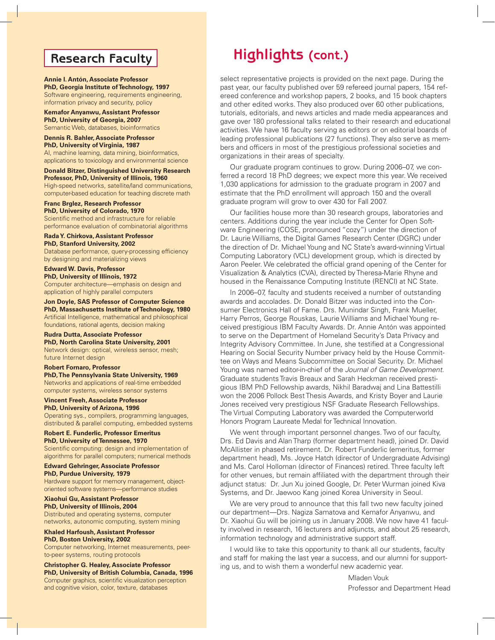#### **Research Faculty**

**Annie I. Antón, Associate Professor PhD, Georgia Institute of Technology, 1997** Software engineering, requirements engineering, information privacy and security, policy

**Kemafor Anyanwu, Assistant Professor PhD, University of Georgia, 2007** Semantic Web, databases, bioinformatics

**Dennis R. Bahler, Associate Professor PhD, University of Virginia, 1987**

AI, machine learning, data mining, bioinformatics, applications to toxicology and environmental science

**Donald Bitzer, Distinguished University Research Professor, PhD, University of Illinois, 1960** High-speed networks, satellite/land communications, computer-based education for teaching discrete math

**Franc Brglez, Research Professor PhD, University of Colorado, 1970** Scientific method and infrastructure for reliable performance evaluation of combinatorial algorithms

**Rada Y. Chirkova, Assistant Professor PhD, Stanford University, 2002** Database performance, query-processing efficiency by designing and materializing views

**Edward W. Davis, Professor PhD, University of Illinois, 1972** Computer architecture—emphasis on design and application of highly parallel computers

**Jon Doyle, SAS Professor of Computer Science PhD, Massachusetts Institute of Technology, 1980** Artificial Intelligence, mathematical and philosophical foundations, rational agents, decision making

**Rudra Dutta, Associate Professor**

**PhD, North Carolina State University, 2001** Network design: optical, wireless sensor, mesh; future Internet design

#### **Robert Fornaro, Professor**

**PhD, The Pennsylvania State University, 1969** Networks and applications of real-time embedded computer systems, wireless sensor systems

**Vincent Freeh, Associate Professor PhD, University of Arizona, 1996** Operating sys., compilers, programming languages, distributed & parallel computing, embedded systems

**Robert E. Funderlic, Professor Emeritus PhD, University of Tennessee, 1970** Scientific computing: design and implementation of

algorithms for parallel computers; numerical methods

**Edward Gehringer, Associate Professor PhD, Purdue University, 1979**

Hardware support for memory management, objectoriented software systems—performance studies

**Xiaohui Gu, Assistant Professor PhD, University of Illinois, 2004**

Distributed and operating systems, computer networks, autonomic computing, system mining

**Khaled Harfoush, Assistant Professor PhD, Boston University, 2002**

Computer networking, Internet measurements, peerto-peer systems, routing protocols

**Christopher G. Healey, Associate Professor PhD, University of British Columbia, Canada, 1996** Computer graphics, scientific visualization perception and cognitive vision, color, texture, databases

### **Highlights (cont.)**

select representative projects is provided on the next page. During the past year, our faculty published over 59 refereed journal papers, 154 refereed conference and workshop papers, 2 books, and 15 book chapters and other edited works. They also produced over 60 other publications, tutorials, editorials, and news articles and made media appearances and gave over 180 professional talks related to their research and educational activities. We have 16 faculty serving as editors or on editorial boards of leading professional publications (27 functions). They also serve as members and officers in most of the prestigious professional societies and organizations in their areas of specialty.

Our graduate program continues to grow. During 2006–07, we conferred a record 18 PhD degrees; we expect more this year. We received 1,030 applications for admission to the graduate program in 2007 and estimate that the PhD enrollment will approach 150 and the overall graduate program will grow to over 430 for Fall 2007.

Our facilities house more than 30 research groups, laboratories and centers. Additions during the year include the Center for Open Software Engineering (COSE, pronounced "cozy") under the direction of Dr. Laurie Williams, the Digital Games Research Center (DGRC) under the direction of Dr. Michael Young and NC State's award-winning Virtual Computing Laboratory (VCL) development group, which is directed by Aaron Peeler. We celebrated the official grand opening of the Center for Visualization & Analytics (CVA), directed by Theresa-Marie Rhyne and housed in the Renaissance Computing Institute (RENCI) at NC State.

In 2006–07, faculty and students received a number of outstanding awards and accolades. Dr. Donald Bitzer was inducted into the Consumer Electronics Hall of Fame. Drs. Munindar Singh, Frank Mueller, Harry Perros, George Rouskas, Laurie Williams and Michael Young received prestigious IBM Faculty Awards. Dr. Annie Antón was appointed to serve on the Department of Homeland Security's Data Privacy and Integrity Advisory Committee. In June, she testified at a Congressional Hearing on Social Security Number privacy held by the House Committee on Ways and Means Subcommittee on Social Security. Dr. Michael Young was named editor-in-chief of the Journal of Game Development. Graduate students Travis Breaux and Sarah Heckman received prestigious IBM PhD Fellowship awards, Nikhil Baradwaj and Lina Battestilli won the 2006 Pollock Best Thesis Awards, and Kristy Boyer and Laurie Jones received very prestigious NSF Graduate Research Fellowships. The Virtual Computing Laboratory was awarded the Computerworld Honors Program Laureate Medal for Technical Innovation.

We went through important personnel changes. Two of our faculty, Drs. Ed Davis and Alan Tharp (former department head), joined Dr. David McAllister in phased retirement. Dr. Robert Funderlic (emeritus, former department head), Ms. Joyce Hatch (director of Undergraduate Advising) and Ms. Carol Holloman (director of Finances) retired. Three faculty left for other venues, but remain affiliated with the department through their adjunct status: Dr. Jun Xu joined Google, Dr. Peter Wurman joined Kiva Systems, and Dr. Jaewoo Kang joined Korea University in Seoul.

We are very proud to announce that this fall two new faculty joined our department—Drs. Nagiza Samatova and Kemafor Anyanwu, and Dr. Xiaohui Gu will be joining us in January 2008. We now have 41 faculty involved in research, 16 lecturers and adjuncts, and about 25 research, information technology and administrative support staff.

I would like to take this opportunity to thank all our students, faculty and staff for making the last year a success, and our alumni for supporting us, and to wish them a wonderful new academic year.

> Mladen Vouk Professor and Department Head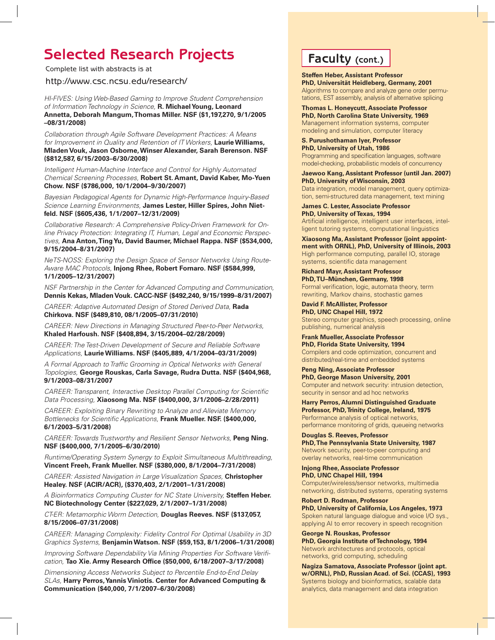## **Selected Research Projects Faculty (cont.)**

Complete list with abstracts is at

http://www.csc.ncsu.edu/research/

HI-FIVES: Using Web-Based Gaming to Improve Student Comprehension of Information Technology in Science, **R. Michael Young, Leonard Annetta, Deborah Mangum, Thomas Miller. NSF (\$1,197,270, 9/1/2005 –08/31/2008)** 

Collaboration through Agile Software Development Practices: A Means for Improvement in Quality and Retention of IT Workers, **Laurie Williams, Mladen Vouk, Jason Osborne, Winser Alexander, Sarah Berenson. NSF (\$812,587, 6/15/2003–6/30/2008)** 

Intelligent Human-Machine Interface and Control for Highly Automated Chemical Screening Processes, **Robert St. Amant, David Kaber, Mo-Yuen Chow. NSF (\$786,000, 10/1/2004–9/30/2007)** 

Bayesian Pedagogical Agents for Dynamic High-Performance Inquiry-Based Science Learning Environments, **James Lester, Hiller Spires, John Nietfeld. NSF (\$605,436, 1/1/2007–12/31/2009)** 

Collaborative Research: A Comprehensive Policy-Driven Framework for Online Privacy Protection: Integrating IT, Human, Legal and Economic Perspectives, **Ana Anton, Ting Yu, David Baumer, Michael Rappa. NSF (\$534,000, 9/15/2004–8/31/2007)**

NeTS-NOSS: Exploring the Design Space of Sensor Networks Using Route-Aware MAC Protocols, **Injong Rhee, Robert Fornaro. NSF (\$584,999, 1/1/2005–12/31/2007)** 

NSF Partnership in the Center for Advanced Computing and Communication, **Dennis Kekas, Mladen Vouk. CACC-NSF (\$492,240, 9/15/1999–8/31/2007)**

CAREER: Adaptive Automated Design of Stored Derived Data, **Rada Chirkova. NSF (\$489,810, 08/1/2005–07/31/2010)** 

CAREER: New Directions in Managing Structured Peer-to-Peer Networks, **Khaled Harfoush. NSF (\$408,894, 3/15/2004–02/28/2009)** 

CAREER: The Test-Driven Development of Secure and Reliable Software Applications, **Laurie Williams. NSF (\$405,889, 4/1/2004–03/31/2009)** 

A Formal Approach to Traffic Grooming in Optical Networks with General Topologies, **George Rouskas, Carla Savage, Rudra Dutta. NSF (\$404,968, 9/1/2003–08/31/2007**

CAREER: Transparent, Interactive Desktop Parallel Computing for Scientific Data Processing, **Xiaosong Ma. NSF (\$400,000, 3/1/2006–2/28/2011)** 

CAREER: Exploiting Binary Rewriting to Analyze and Alleviate Memory Bottlenecks for Scientific Applications, Frank Mueller. NSF. (\$400,000, **6/1/2003–5/31/2008)** 

CAREER: Towards Trustworthy and Resilient Sensor Networks, **Peng Ning. NSF (\$400,000, 7/1/2005–6/30/2010)** 

Runtime/Operating System Synergy to Exploit Simultaneous Multithreading, **Vincent Freeh, Frank Mueller. NSF (\$380,000, 8/1/2004–7/31/2008)** 

CAREER: Assisted Navigation in Large Visualization Spaces, **Christopher Healey. NSF (ACIR/ACR), (\$370,403, 2/1/2001–1/31/2008)** 

A Bioinformatics Computing Cluster for NC State University, **Steffen Heber. NC Biotechnology Center (\$227,029, 2/1/2007–1/31/2008)**

CT-ER: Metamorphic Worm Detection, **Douglas Reeves. NSF (\$137,057, 8/15/2006–07/31/2008)**

CAREER: Managing Complexity: Fidelity Control For Optimal Usability in 3D Graphics Systems, **Benjamin Watson. NSF (\$59,153, 8/1/2006–1/31/2008)**

Improving Software Dependability Via Mining Properties For Software Verification, **Tao Xie. Army Research Office (\$50,000, 6/18/2007-3/17/2008)** 

Dimensioning Access Networks Subject to Percentile End-to-End Delay SLAs, **Harry Perros, Yannis Viniotis. Center for Advanced Computing & Communication (\$40,000, 7/1/2007–6/30/2008)**

**Steffen Heber, Assistant Professor PhD, Universität Heidleberg, Germany, 2001** Algorithms to compare and analyze gene order permutations, EST assembly, analysis of alternative splicing

**Thomas L. Honeycutt, Associate Professor PhD, North Carolina State University, 1969** Management information systems, computer modeling and simulation, computer literacy

**S. Purushothaman Iyer, Professor PhD, University of Utah, 1986** Programming and specification languages, software

model-checking, probabilistic models of concurrency

**Jaewoo Kang, Assistant Professor (until Jan. 2007) PhD, University of Wisconsin, 2003** Data integration, model management, query optimiza-

tion, semi-structured data management, text mining

**James C. Lester, Associate Professor PhD, University of Texas, 1994** Artificial intelligence, intelligent user interfaces, intelligent tutoring systems, computational linguistics

**Xiaosong Ma, Assistant Professor (joint appointment with ORNL), PhD, University of Illinois, 2003** High performance computing, parallel IO, storage systems, scientific data management

**Richard Mayr, Assistant Professor PhD, TU–München, Germany, 1998**

Formal verification, logic, automata theory, term rewriting, Markov chains, stochastic games

**David F. McAllister, Professor PhD, UNC Chapel Hill, 1972** Stereo computer graphics, speech processing, online publishing, numerical analysis

**Frank Mueller, Associate Professor PhD, Florida State University, 1994** Compilers and code optimization, concurrent and distributed/real-time and embedded systems

**Peng Ning, Associate Professor PhD, George Mason University, 2001** Computer and network security: intrusion detection, security in sensor and ad hoc networks

**Harry Perros, Alumni Distinguished Graduate Professor, PhD, Trinity College, Ireland, 1975** Performance analysis of optical networks, performance monitoring of grids, queueing networks

**Douglas S. Reeves, Professor PhD, The Pennsylvania State University, 1987** Network security, peer-to-peer computing and overlay networks, real-time communication

**Injong Rhee, Associate Professor PhD, UNC Chapel Hill, 1994** Computer/wireless/sensor networks, multimedia networking, distributed systems, operating systems

**Robert D. Rodman, Professor PhD, University of California, Los Angeles, 1973** Spoken natural language dialogue and voice I/O sys., applying AI to error recovery in speech recognition

**George N. Rouskas, Professor PhD, Georgia Institute of Technology, 1994** Network architectures and protocols, optical networks, grid computing, scheduling

**Nagiza Samatova, Associate Professor (joint apt. w/ORNL), PhD, Russian Acad. of Sci. (CCAS), 1993** Systems biology and bioinformatics, scalable data analytics, data management and data integration